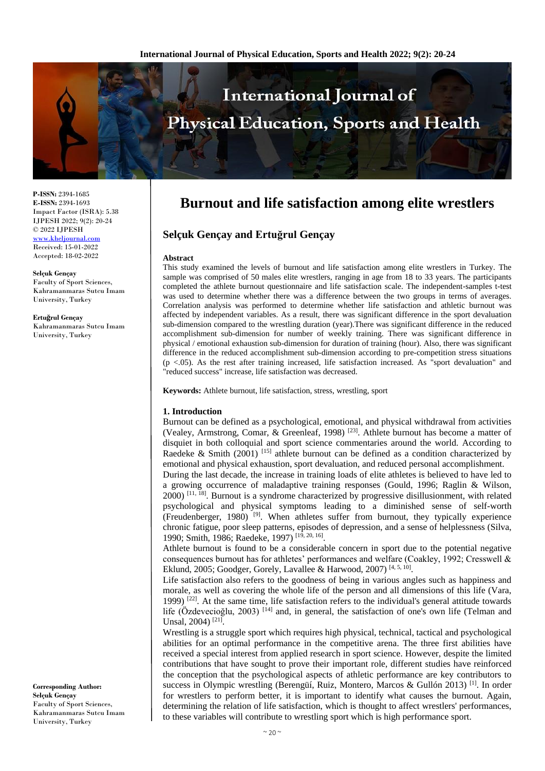

**P-ISSN:** 2394-1685 **E-ISSN:** 2394-1693 Impact Factor (ISRA): 5.38 IJPESH 2022; 9(2): 20-24 © 2022 IJPESH [www.kheljournal.com](http://www.kheljournal.com/)

Received: 15-01-2022 Accepted: 18-02-2022

**Selçuk Gençay** Faculty of Sport Sciences, Kahramanmaras Sutcu Imam University, Turkey

**Ertuğrul Gençay** Kahramanmaras Sutcu Imam University, Turkey

**Corresponding Author: Selçuk Gençay** Faculty of Sport Sciences, Kahramanmaras Sutcu Imam University, Turkey

# **Burnout and life satisfaction among elite wrestlers**

# **Selçuk Gençay and Ertuğrul Gençay**

#### **Abstract**

This study examined the levels of burnout and life satisfaction among elite wrestlers in Turkey. The sample was comprised of 50 males elite wrestlers, ranging in age from 18 to 33 years. The participants completed the athlete burnout questionnaire and life satisfaction scale. The independent-samples t-test was used to determine whether there was a difference between the two groups in terms of averages. Correlation analysis was performed to determine whether life satisfaction and athletic burnout was affected by independent variables. As a result, there was significant difference in the sport devaluation sub-dimension compared to the wrestling duration (year).There was significant difference in the reduced accomplishment sub-dimension for number of weekly training. There was significant difference in physical / emotional exhaustion sub-dimension for duration of training (hour). Also, there was significant difference in the reduced accomplishment sub-dimension according to pre-competition stress situations  $(p \lt 0.05)$ . As the rest after training increased, life satisfaction increased. As "sport devaluation" and "reduced success" increase, life satisfaction was decreased.

**Keywords:** Athlete burnout, life satisfaction, stress, wrestling, sport

# **1. Introduction**

Burnout can be defined as a psychological, emotional, and physical withdrawal from activities (Vealey, Armstrong, Comar, & Greenleaf, 1998)<sup>[23]</sup>. Athlete burnout has become a matter of disquiet in both colloquial and sport science commentaries around the world. According to Raedeke & Smith (2001) [15] athlete burnout can be defined as a condition characterized by emotional and physical exhaustion, sport devaluation, and reduced personal accomplishment.

During the last decade, the increase in training loads of elite athletes is believed to have led to a growing occurrence of maladaptive training responses (Gould, 1996; Raglin & Wilson,  $2000$   $^{[11, 18]}$ . Burnout is a syndrome characterized by progressive disillusionment, with related psychological and physical symptoms leading to a diminished sense of self-worth (Freudenberger, 1980)  $[9]$ . When athletes suffer from burnout, they typically experience chronic fatigue, poor sleep patterns, episodes of depression, and a sense of helplessness (Silva, 1990; Smith, 1986; Raedeke, 1997)<sup>[19, 20, 16]</sup>.

Athlete burnout is found to be a considerable concern in sport due to the potential negative consequences burnout has for athletes' performances and welfare (Coakley, 1992; Cresswell & Eklund, 2005; Goodger, Gorely, Lavallee & Harwood, 2007)<sup>[4, 5, 10]</sup>.

Life satisfaction also refers to the goodness of being in various angles such as happiness and morale, as well as covering the whole life of the person and all dimensions of this life (Vara, 1999)  $[22]$ . At the same time, life satisfaction refers to the individual's general attitude towards life (Özdevecioğlu, 2003)  $^{[14]}$  and, in general, the satisfaction of one's own life (Telman and Unsal, 2004)<sup>[21]</sup>.

Wrestling is a struggle sport which requires high physical, technical, tactical and psychological abilities for an optimal performance in the competitive arena. The three first abilities have received a special interest from applied research in sport science. However, despite the limited contributions that have sought to prove their important role, different studies have reinforced the conception that the psychological aspects of athletic performance are key contributors to success in Olympic wrestling (Berengüí, Ruiz, Montero, Marcos & Gullón 2013)<sup>[1]</sup>. In order for wrestlers to perform better, it is important to identify what causes the burnout. Again, determining the relation of life satisfaction, which is thought to affect wrestlers' performances, to these variables will contribute to wrestling sport which is high performance sport.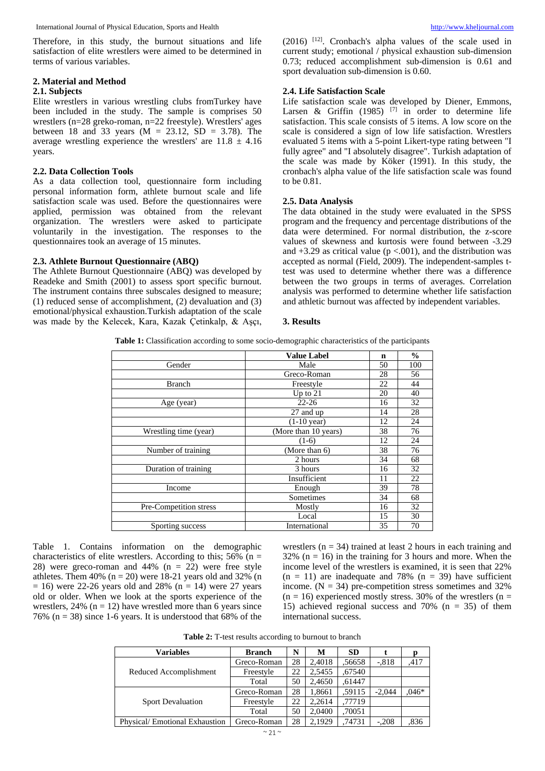Therefore, in this study, the burnout situations and life satisfaction of elite wrestlers were aimed to be determined in terms of various variables.

#### **2. Material and Method**

# **2.1. Subjects**

Elite wrestlers in various wrestling clubs fromTurkey have been included in the study. The sample is comprises 50 wrestlers (n=28 greko-roman, n=22 freestyle). Wrestlers' ages between 18 and 33 years  $(M = 23.12, SD = 3.78)$ . The average wrestling experience the wrestlers' are  $11.8 \pm 4.16$ years.

### **2.2. Data Collection Tools**

As a data collection tool, questionnaire form including personal information form, athlete burnout scale and life satisfaction scale was used. Before the questionnaires were applied, permission was obtained from the relevant organization. The wrestlers were asked to participate voluntarily in the investigation. The responses to the questionnaires took an average of 15 minutes.

#### **2.3. Athlete Burnout Questionnaire (ABQ)**

The Athlete Burnout Questionnaire (ABQ) was developed by Readeke and Smith (2001) to assess sport specific burnout. The instrument contains three subscales designed to measure; (1) reduced sense of accomplishment, (2) devaluation and (3) emotional/physical exhaustion.Turkish adaptation of the scale was made by the Kelecek, Kara, Kazak Çetinkalp, & Aşçı,

(2016) [12] . Cronbach's alpha values of the scale used in current study; emotional / physical exhaustion sub-dimension 0.73; reduced accomplishment sub-dimension is 0.61 and sport devaluation sub-dimension is 0.60.

#### **2.4. Life Satisfaction Scale**

Life satisfaction scale was developed by Diener, Emmons, Larsen & Griffin  $(1985)$  <sup>[7]</sup> in order to determine life satisfaction. This scale consists of 5 items. A low score on the scale is considered a sign of low life satisfaction. Wrestlers evaluated 5 items with a 5-point Likert-type rating between "I fully agree" and "I absolutely disagree". Turkish adaptation of the scale was made by Köker (1991). In this study, the cronbach's alpha value of the life satisfaction scale was found to be 0.81.

#### **2.5. Data Analysis**

The data obtained in the study were evaluated in the SPSS program and the frequency and percentage distributions of the data were determined. For normal distribution, the z-score values of skewness and kurtosis were found between -3.29 and  $+3.29$  as critical value ( $p < .001$ ), and the distribution was accepted as normal (Field, 2009). The independent-samples ttest was used to determine whether there was a difference between the two groups in terms of averages. Correlation analysis was performed to determine whether life satisfaction and athletic burnout was affected by independent variables.

#### **3. Results**

**Table 1:** Classification according to some socio-demographic characteristics of the participants

|                        | <b>Value Label</b>    | n  | $\frac{0}{0}$ |
|------------------------|-----------------------|----|---------------|
| Gender                 | Male                  | 50 | 100           |
|                        | Greco-Roman           | 28 | 56            |
| <b>Branch</b>          | Freestyle             | 22 | 44            |
|                        | Up to $21$            | 20 | 40            |
| Age (year)             | $22 - 26$             | 16 | 32            |
|                        | 27 and up             | 14 | 28            |
|                        | $(1-10 \text{ year})$ | 12 | 24            |
| Wrestling time (year)  | (More than 10 years)  | 38 | 76            |
|                        | $(1-6)$               | 12 | 24            |
| Number of training     | (More than 6)         | 38 | 76            |
|                        | 2 hours               | 34 | 68            |
| Duration of training   | 3 hours               | 16 | 32            |
|                        | Insufficient          | 11 | 22            |
| Income                 | Enough                | 39 | 78            |
|                        | Sometimes             | 34 | 68            |
| Pre-Competition stress | Mostly                | 16 | 32            |
|                        | Local                 | 15 | 30            |
| Sporting success       | International         | 35 | 70            |

Table 1. Contains information on the demographic characteristics of elite wrestlers. According to this;  $56\%$  (n = 28) were greco-roman and 44%  $(n = 22)$  were free style athletes. Them 40% ( $n = 20$ ) were 18-21 years old and 32% (n  $= 16$ ) were 22-26 years old and 28% (n  $= 14$ ) were 27 years old or older. When we look at the sports experience of the wrestlers,  $24\%$  (n = 12) have wrestled more than 6 years since 76% ( $n = 38$ ) since 1-6 years. It is understood that 68% of the

wrestlers ( $n = 34$ ) trained at least 2 hours in each training and 32% ( $n = 16$ ) in the training for 3 hours and more. When the income level of the wrestlers is examined, it is seen that 22%  $(n = 11)$  are inadequate and 78%  $(n = 39)$  have sufficient income.  $(N = 34)$  pre-competition stress sometimes and 32%  $(n = 16)$  experienced mostly stress. 30% of the wrestlers  $(n = 16)$ 15) achieved regional success and 70%  $(n = 35)$  of them international success.

**Table 2:** T-test results according to burnout to branch

| <b>Variables</b>              | <b>Branch</b> | N  | М      | <b>SD</b> |          |         |
|-------------------------------|---------------|----|--------|-----------|----------|---------|
| Reduced Accomplishment        | Greco-Roman   | 28 | 2,4018 | .56658    | $-.818$  | .417    |
|                               | Freestyle     | 22 | 2,5455 | ,67540    |          |         |
|                               | Total         | 50 | 2,4650 | .61447    |          |         |
|                               | Greco-Roman   | 28 | 1,8661 | .59115    | $-2.044$ | $.046*$ |
| <b>Sport Devaluation</b>      | Freestyle     | 22 | 2,2614 | ,77719    |          |         |
|                               | Total         | 50 | 2,0400 | ,70051    |          |         |
| Physical/Emotional Exhaustion | Greco-Roman   | 28 | 2.1929 | .74731    | $-.208$  | .836    |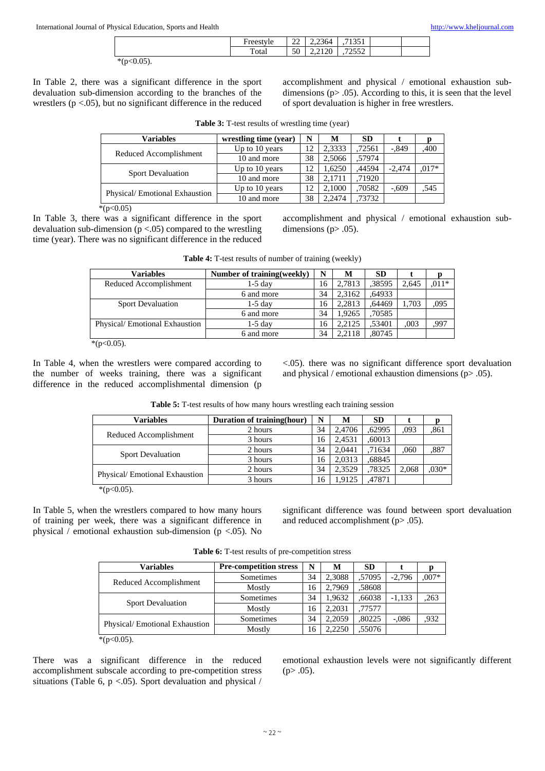| ┮<br>$H_{0}$ | $\sim$<br>∠∠ | $\sim$<br>2,2364             | $\sim$ $-1$<br>-<br>199 I |  |
|--------------|--------------|------------------------------|---------------------------|--|
| m<br>"otar   | 50           | $\mathbf{a}$<br>$2.41 \pm 0$ | $  \sim$<br>$-$<br>ے رے   |  |

 $*(p<0.05)$ .

In Table 2, there was a significant difference in the sport devaluation sub-dimension according to the branches of the wrestlers ( $p < .05$ ), but no significant difference in the reduced accomplishment and physical / emotional exhaustion subdimensions  $(p> .05)$ . According to this, it is seen that the level of sport devaluation is higher in free wrestlers.

|  |  |  |  | Table 3: T-test results of wrestling time (year) |  |  |
|--|--|--|--|--------------------------------------------------|--|--|
|--|--|--|--|--------------------------------------------------|--|--|

| <b>Variables</b>              | wrestling time (year) | N  | м      | <b>SD</b> |          |         |
|-------------------------------|-----------------------|----|--------|-----------|----------|---------|
| Reduced Accomplishment        | Up to 10 years        | 12 | 2,3333 | .72561    | $-.849$  | ,400    |
|                               | 10 and more           | 38 | 2,5066 | .57974    |          |         |
| <b>Sport Devaluation</b>      | Up to 10 years        | 12 | 1.6250 | 44594     | $-2.474$ | $.017*$ |
|                               | 10 and more           | 38 | 2.1711 | .71920    |          |         |
| Physical/Emotional Exhaustion | Up to 10 years        | 12 | 2,1000 | .70582    | $-.609$  | .545    |
|                               | 10 and more           | 38 | 2.2474 | .73732    |          |         |

 $*(p<0.05)$ 

In Table 3, there was a significant difference in the sport devaluation sub-dimension  $(p < .05)$  compared to the wrestling time (year). There was no significant difference in the reduced accomplishment and physical / emotional exhaustion subdimensions ( $p$  $>$  .05).

| <b>Variables</b>              | Number of training (weekly) | N  | M      | <b>SD</b> |       |         |
|-------------------------------|-----------------------------|----|--------|-----------|-------|---------|
| Reduced Accomplishment        | $1-5$ day                   | 16 | 2.7813 | .38595    | 2.645 | $.011*$ |
|                               | 6 and more                  | 34 | 2.3162 | .64933    |       |         |
| <b>Sport Devaluation</b>      | $1-5$ day                   | 16 | 2.2813 | .64469    | 1.703 | .095    |
|                               | 6 and more                  | 34 | 1.9265 | ,70585    |       |         |
| Physical/Emotional Exhaustion | $1-5$ day                   | 16 | 2.2125 | .53401    | .003  | ,997    |
|                               | 6 and more                  | 34 | 2.2118 | .80745    |       |         |

**Table 4:** T-test results of number of training (weekly)

 $*(p<0.05)$ .

In Table 4, when the wrestlers were compared according to the number of weeks training, there was a significant difference in the reduced accomplishmental dimension (p

<.05). there was no significant difference sport devaluation and physical / emotional exhaustion dimensions (p> .05).

Table 5: T-test results of how many hours wrestling each training session

| Variables                                                 | Duration of training (hour) | N  | M      | <b>SD</b> |       |        |
|-----------------------------------------------------------|-----------------------------|----|--------|-----------|-------|--------|
| Reduced Accomplishment                                    | 2 hours                     | 34 | 2.4706 | .62995    | .093  | .861   |
|                                                           | 3 hours                     | 16 | 2.4531 | ,60013    |       |        |
| <b>Sport Devaluation</b><br>Physical/Emotional Exhaustion | 2 hours                     | 34 | 2.0441 | ,71634    | .060  | ,887   |
|                                                           | 3 hours                     | 16 | 2.0313 | .68845    |       |        |
|                                                           | 2 hours                     | 34 | 2.3529 | .78325    | 2.068 | $030*$ |
|                                                           | 3 hours                     | 16 | 1.9125 | .47871    |       |        |
| $*(n-0.05)$                                               |                             |    |        |           |       |        |

 $*(p<0.05)$ .

In Table 5, when the wrestlers compared to how many hours of training per week, there was a significant difference in physical / emotional exhaustion sub-dimension ( $p < 0.05$ ). No

significant difference was found between sport devaluation and reduced accomplishment (p> .05).

**Table 6:** T-test results of pre-competition stress

| <b>Variables</b>              | <b>Pre-competition stress</b> | N  | М      | <b>SD</b> |          |         |
|-------------------------------|-------------------------------|----|--------|-----------|----------|---------|
| Reduced Accomplishment        | Sometimes                     | 34 | 2,3088 | .57095    | $-2.796$ | $.007*$ |
|                               | Mostly                        | 16 | 2,7969 | .58608    |          |         |
| <b>Sport Devaluation</b>      | Sometimes                     | 34 | 1,9632 | ,66038    | $-1,133$ | .263    |
|                               | Mostly                        | 16 | 2,2031 | .77577    |          |         |
|                               | Sometimes                     | 34 | 2,2059 | .80225    | $-.086$  | .932    |
| Physical/Emotional Exhaustion | Mostly                        | 16 | 2,2250 | .55076    |          |         |
| * $(p<0.05)$ .                |                               |    |        |           |          |         |

There was a significant difference in the reduced accomplishment subscale according to pre-competition stress situations (Table 6,  $p < .05$ ). Sport devaluation and physical /

emotional exhaustion levels were not significantly different  $(p > .05)$ .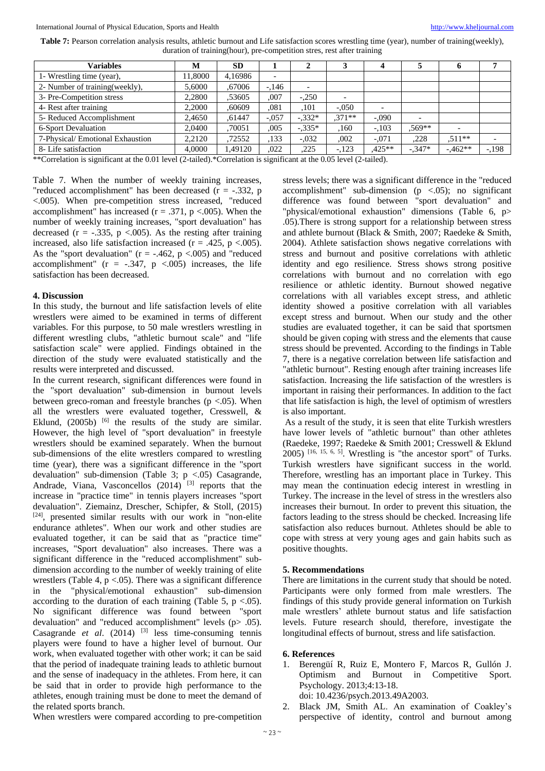**Table 7:** Pearson correlation analysis results, athletic burnout and Life satisfaction scores wrestling time (year), number of training(weekly), duration of training(hour), pre-competition stres, rest after training

| Variables                       | M      | <b>SD</b> |         |          |          |                          |                          | o        |        |
|---------------------------------|--------|-----------|---------|----------|----------|--------------------------|--------------------------|----------|--------|
| 1- Wrestling time (year),       | 1,8000 | 4,16986   |         |          |          |                          |                          |          |        |
| 2- Number of training (weekly), | 5,6000 | .67006    | $-146$  |          |          |                          |                          |          |        |
| 3- Pre-Competition stress       | 2.2800 | .53605    | .007    | $-.250$  |          |                          |                          |          |        |
| 4- Rest after training          | 2,2000 | .60609    | .081    | .101     | $-.050$  | $\overline{\phantom{a}}$ |                          |          |        |
| 5- Reduced Accomplishment       | 2,4650 | .61447    | $-.057$ | $-.332*$ | $.371**$ | $-.090$                  | $\overline{\phantom{0}}$ |          |        |
| 6-Sport Devaluation             | 2.0400 | .70051    | .005    | $-.335*$ | .160     | $-.103$                  | $.569**$                 |          |        |
| 7-Physical/Emotional Exhaustion | 2.2120 | .72552    | .133    | $-.032$  | ,002     | $-.071$                  | .228                     | $.511**$ |        |
| 8- Life satisfaction            | 4,0000 | 1.49120   | .022    | ,225     | $-.123$  | $.425**$                 | $-347*$                  | $-462**$ | $-198$ |

\*\*Correlation is significant at the 0.01 level (2-tailed).\*Correlation is significant at the 0.05 level (2-tailed).

Table 7. When the number of weekly training increases, "reduced accomplishment" has been decreased (r = -.332, p <.005). When pre-competition stress increased, "reduced accomplishment" has increased ( $r = .371$ ,  $p < .005$ ). When the number of weekly training increases, "sport devaluation" has decreased ( $r = -0.335$ ,  $p < 0.005$ ). As the resting after training increased, also life satisfaction increased ( $r = .425$ ,  $p < .005$ ). As the "sport devaluation" ( $r = -.462$ ,  $p < .005$ ) and "reduced accomplishment" ( $r = -.347$ ,  $p < .005$ ) increases, the life satisfaction has been decreased.

# **4. Discussion**

In this study, the burnout and life satisfaction levels of elite wrestlers were aimed to be examined in terms of different variables. For this purpose, to 50 male wrestlers wrestling in different wrestling clubs, "athletic burnout scale" and "life satisfaction scale" were applied. Findings obtained in the direction of the study were evaluated statistically and the results were interpreted and discussed.

In the current research, significant differences were found in the "sport devaluation" sub-dimension in burnout levels between greco-roman and freestyle branches ( $p < .05$ ). When all the wrestlers were evaluated together, Cresswell, & Eklund, (2005b) <sup>[6]</sup> the results of the study are similar. However, the high level of "sport devaluation" in freestyle wrestlers should be examined separately. When the burnout sub-dimensions of the elite wrestlers compared to wrestling time (year), there was a significant difference in the "sport devaluation" sub-dimension (Table 3;  $p \lt 0.05$ ) Casagrande, Andrade, Viana, Vasconcellos  $(2014)$ <sup>[3]</sup> reports that the increase in "practice time" in tennis players increases "sport devaluation". Ziemainz, Drescher, Schipfer, & Stoll, (2015)  $[24]$ , presented similar results with our work in "non-elite" endurance athletes". When our work and other studies are evaluated together, it can be said that as "practice time" increases, "Sport devaluation" also increases. There was a significant difference in the "reduced accomplishment" subdimension according to the number of weekly training of elite wrestlers (Table 4,  $p < .05$ ). There was a significant difference in the "physical/emotional exhaustion" sub-dimension according to the duration of each training (Table 5,  $p < .05$ ). No significant difference was found between "sport devaluation" and "reduced accomplishment" levels (p> .05). Casagrande *et al*. (2014) [3] less time-consuming tennis players were found to have a higher level of burnout. Our work, when evaluated together with other work; it can be said that the period of inadequate training leads to athletic burnout and the sense of inadequacy in the athletes. From here, it can be said that in order to provide high performance to the athletes, enough training must be done to meet the demand of the related sports branch.

stress levels; there was a significant difference in the "reduced accomplishment" sub-dimension (p <.05); no significant difference was found between "sport devaluation" and "physical/emotional exhaustion" dimensions (Table 6, p> .05).There is strong support for a relationship between stress and athlete burnout (Black & Smith, 2007; Raedeke & Smith, 2004). Athlete satisfaction shows negative correlations with stress and burnout and positive correlations with athletic identity and ego resilience. Stress shows strong positive correlations with burnout and no correlation with ego resilience or athletic identity. Burnout showed negative correlations with all variables except stress, and athletic identity showed a positive correlation with all variables except stress and burnout. When our study and the other studies are evaluated together, it can be said that sportsmen should be given coping with stress and the elements that cause stress should be prevented. According to the findings in Table 7, there is a negative correlation between life satisfaction and "athletic burnout". Resting enough after training increases life satisfaction. Increasing the life satisfaction of the wrestlers is important in raising their performances. In addition to the fact that life satisfaction is high, the level of optimism of wrestlers is also important.

As a result of the study, it is seen that elite Turkish wrestlers have lower levels of "athletic burnout" than other athletes (Raedeke, 1997; Raedeke & Smith 2001; Cresswell & Eklund 2005) [16, 15, 6, 5]. Wrestling is "the ancestor sport" of Turks. Turkish wrestlers have significant success in the world. Therefore, wrestling has an important place in Turkey. This may mean the continuation edecig interest in wrestling in Turkey. The increase in the level of stress in the wrestlers also increases their burnout. In order to prevent this situation, the factors leading to the stress should be checked. Increasing life satisfaction also reduces burnout. Athletes should be able to cope with stress at very young ages and gain habits such as positive thoughts.

# **5. Recommendations**

There are limitations in the current study that should be noted. Participants were only formed from male wrestlers. The findings of this study provide general information on Turkish male wrestlers' athlete burnout status and life satisfaction levels. Future research should, therefore, investigate the longitudinal effects of burnout, stress and life satisfaction.

# **6. References**

1. Berengüí R, Ruiz E, Montero F, Marcos R, Gullón J. Optimism and Burnout in Competitive Sport. Psychology. 2013;4:13-18.

doi: 10.4236/psych.2013.49A2003.

2. Black JM, Smith AL. An examination of Coakley's perspective of identity, control and burnout among

When wrestlers were compared according to pre-competition